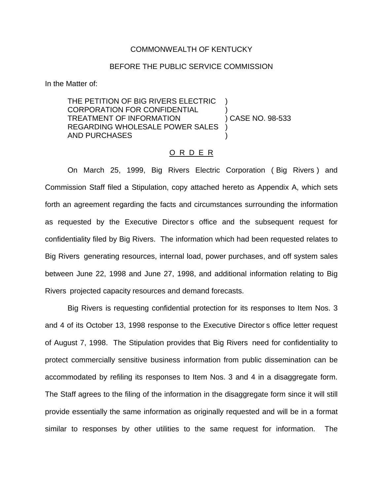## COMMONWEALTH OF KENTUCKY

## BEFORE THE PUBLIC SERVICE COMMISSION

In the Matter of:

THE PETITION OF BIG RIVERS ELECTRIC CORPORATION FOR CONFIDENTIAL ) TREATMENT OF INFORMATION ) CASE NO. 98-533 REGARDING WHOLESALE POWER SALES AND PURCHASES )

## O R D E R

On March 25, 1999, Big Rivers Electric Corporation ( Big Rivers ) and Commission Staff filed a Stipulation, copy attached hereto as Appendix A, which sets forth an agreement regarding the facts and circumstances surrounding the information as requested by the Executive Director s office and the subsequent request for confidentiality filed by Big Rivers. The information which had been requested relates to Big Rivers generating resources, internal load, power purchases, and off system sales between June 22, 1998 and June 27, 1998, and additional information relating to Big Rivers projected capacity resources and demand forecasts.

Big Rivers is requesting confidential protection for its responses to Item Nos. 3 and 4 of its October 13, 1998 response to the Executive Director s office letter request of August 7, 1998. The Stipulation provides that Big Rivers need for confidentiality to protect commercially sensitive business information from public dissemination can be accommodated by refiling its responses to Item Nos. 3 and 4 in a disaggregate form. The Staff agrees to the filing of the information in the disaggregate form since it will still provide essentially the same information as originally requested and will be in a format similar to responses by other utilities to the same request for information. The